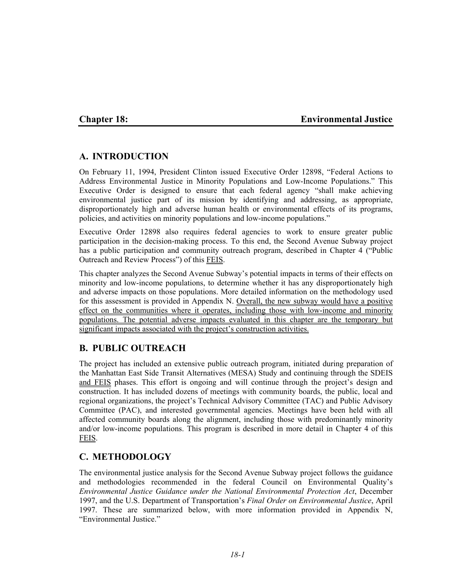# **Chapter 18: Environmental Justice**

# **A. INTRODUCTION**

On February 11, 1994, President Clinton issued Executive Order 12898, "Federal Actions to Address Environmental Justice in Minority Populations and Low-Income Populations." This Executive Order is designed to ensure that each federal agency "shall make achieving environmental justice part of its mission by identifying and addressing, as appropriate, disproportionately high and adverse human health or environmental effects of its programs, policies, and activities on minority populations and low-income populations."

Executive Order 12898 also requires federal agencies to work to ensure greater public participation in the decision-making process. To this end, the Second Avenue Subway project has a public participation and community outreach program, described in Chapter 4 ("Public Outreach and Review Process") of this FEIS.

This chapter analyzes the Second Avenue Subway's potential impacts in terms of their effects on minority and low-income populations, to determine whether it has any disproportionately high and adverse impacts on those populations. More detailed information on the methodology used for this assessment is provided in Appendix N. Overall, the new subway would have a positive effect on the communities where it operates, including those with low-income and minority populations. The potential adverse impacts evaluated in this chapter are the temporary but significant impacts associated with the project's construction activities.

# **B. PUBLIC OUTREACH**

The project has included an extensive public outreach program, initiated during preparation of the Manhattan East Side Transit Alternatives (MESA) Study and continuing through the SDEIS and FEIS phases. This effort is ongoing and will continue through the project's design and construction. It has included dozens of meetings with community boards, the public, local and regional organizations, the project's Technical Advisory Committee (TAC) and Public Advisory Committee (PAC), and interested governmental agencies. Meetings have been held with all affected community boards along the alignment, including those with predominantly minority and/or low-income populations. This program is described in more detail in Chapter 4 of this FEIS.

# **C. METHODOLOGY**

The environmental justice analysis for the Second Avenue Subway project follows the guidance and methodologies recommended in the federal Council on Environmental Quality's *Environmental Justice Guidance under the National Environmental Protection Act*, December 1997, and the U.S. Department of Transportation's *Final Order on Environmental Justice*, April 1997. These are summarized below, with more information provided in Appendix N, "Environmental Justice."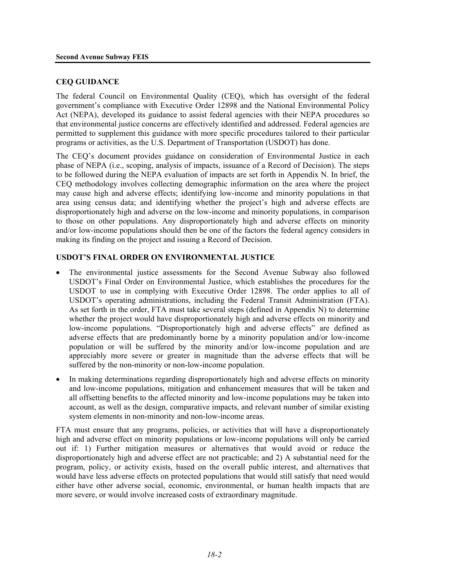#### **CEQ GUIDANCE**

The federal Council on Environmental Quality (CEQ), which has oversight of the federal government's compliance with Executive Order 12898 and the National Environmental Policy Act (NEPA), developed its guidance to assist federal agencies with their NEPA procedures so that environmental justice concerns are effectively identified and addressed. Federal agencies are permitted to supplement this guidance with more specific procedures tailored to their particular programs or activities, as the U.S. Department of Transportation (USDOT) has done.

The CEQ's document provides guidance on consideration of Environmental Justice in each phase of NEPA (i.e., scoping, analysis of impacts, issuance of a Record of Decision). The steps to be followed during the NEPA evaluation of impacts are set forth in Appendix N. In brief, the CEQ methodology involves collecting demographic information on the area where the project may cause high and adverse effects; identifying low-income and minority populations in that area using census data; and identifying whether the project's high and adverse effects are disproportionately high and adverse on the low-income and minority populations, in comparison to those on other populations. Any disproportionately high and adverse effects on minority and/or low-income populations should then be one of the factors the federal agency considers in making its finding on the project and issuing a Record of Decision.

## **USDOT'S FINAL ORDER ON ENVIRONMENTAL JUSTICE**

- The environmental justice assessments for the Second Avenue Subway also followed USDOT's Final Order on Environmental Justice, which establishes the procedures for the USDOT to use in complying with Executive Order 12898. The order applies to all of USDOT's operating administrations, including the Federal Transit Administration (FTA). As set forth in the order, FTA must take several steps (defined in Appendix N) to determine whether the project would have disproportionately high and adverse effects on minority and low-income populations. "Disproportionately high and adverse effects" are defined as adverse effects that are predominantly borne by a minority population and/or low-income population or will be suffered by the minority and/or low-income population and are appreciably more severe or greater in magnitude than the adverse effects that will be suffered by the non-minority or non-low-income population.
- In making determinations regarding disproportionately high and adverse effects on minority and low-income populations, mitigation and enhancement measures that will be taken and all offsetting benefits to the affected minority and low-income populations may be taken into account, as well as the design, comparative impacts, and relevant number of similar existing system elements in non-minority and non-low-income areas.

FTA must ensure that any programs, policies, or activities that will have a disproportionately high and adverse effect on minority populations or low-income populations will only be carried out if: 1) Further mitigation measures or alternatives that would avoid or reduce the disproportionately high and adverse effect are not practicable; and 2) A substantial need for the program, policy, or activity exists, based on the overall public interest, and alternatives that would have less adverse effects on protected populations that would still satisfy that need would either have other adverse social, economic, environmental, or human health impacts that are more severe, or would involve increased costs of extraordinary magnitude.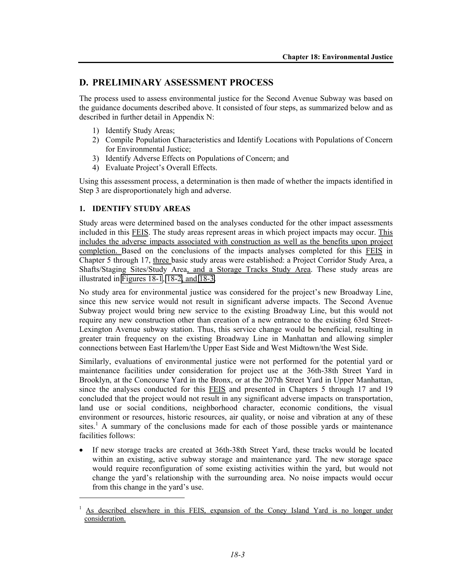# **D. PRELIMINARY ASSESSMENT PROCESS**

The process used to assess environmental justice for the Second Avenue Subway was based on the guidance documents described above. It consisted of four steps, as summarized below and as described in further detail in Appendix N:

- 1) Identify Study Areas;
- 2) Compile Population Characteristics and Identify Locations with Populations of Concern for Environmental Justice;
- 3) Identify Adverse Effects on Populations of Concern; and
- 4) Evaluate Project's Overall Effects.

Using this assessment process, a determination is then made of whether the impacts identified in Step 3 are disproportionately high and adverse.

## **1. IDENTIFY STUDY AREAS**

1

Study areas were determined based on the analyses conducted for the other impact assessments included in this FEIS. The study areas represent areas in which project impacts may occur. This includes the adverse impacts associated with construction as well as the benefits upon project completion. Based on the conclusions of the impacts analyses completed for this FEIS in Chapter 5 through 17, three basic study areas were established: a Project Corridor Study Area, a Shafts/Staging Sites/Study Area, and a Storage Tracks Study Area. These study areas are illustrated in Figures 18-1, 18-2, and  $\overline{18-3}$ .

No study area for environmental justice was considered for the project's new Broadway Line, since this new service would not result in significant adverse impacts. The Second Avenue Subway project would bring new service to the existing Broadway Line, but this would not require any new construction other than creation of a new entrance to the existing 63rd Street-Lexington Avenue subway station. Thus, this service change would be beneficial, resulting in greater train frequency on the existing Broadway Line in Manhattan and allowing simpler connections between East Harlem/the Upper East Side and West Midtown/the West Side.

Similarly, evaluations of environmental justice were not performed for the potential yard or maintenance facilities under consideration for project use at the 36th-38th Street Yard in Brooklyn, at the Concourse Yard in the Bronx, or at the 207th Street Yard in Upper Manhattan, since the analyses conducted for this FEIS and presented in Chapters 5 through 17 and 19 concluded that the project would not result in any significant adverse impacts on transportation, land use or social conditions, neighborhood character, economic conditions, the visual environment or resources, historic resources, air quality, or noise and vibration at any of these sites.<sup>1</sup> A summary of the conclusions made for each of those possible yards or maintenance facilities follows:

• If new storage tracks are created at 36th-38th Street Yard, these tracks would be located within an existing, active subway storage and maintenance yard. The new storage space would require reconfiguration of some existing activities within the yard, but would not change the yard's relationship with the surrounding area. No noise impacts would occur from this change in the yard's use.

<sup>1</sup> As described elsewhere in this FEIS, expansion of the Coney Island Yard is no longer under consideration.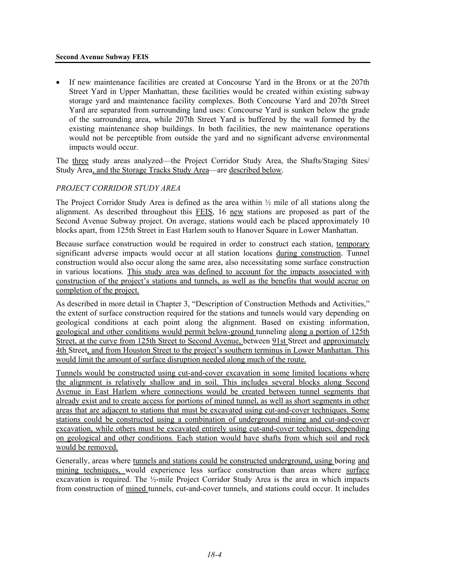#### **Second Avenue Subway FEIS**

If new maintenance facilities are created at Concourse Yard in the Bronx or at the 207th Street Yard in Upper Manhattan, these facilities would be created within existing subway storage yard and maintenance facility complexes. Both Concourse Yard and 207th Street Yard are separated from surrounding land uses: Concourse Yard is sunken below the grade of the surrounding area, while 207th Street Yard is buffered by the wall formed by the existing maintenance shop buildings. In both facilities, the new maintenance operations would not be perceptible from outside the yard and no significant adverse environmental impacts would occur.

The three study areas analyzed—the Project Corridor Study Area, the Shafts/Staging Sites/ Study Area, and the Storage Tracks Study Area—are described below.

# *PROJECT CORRIDOR STUDY AREA*

The Project Corridor Study Area is defined as the area within  $\frac{1}{2}$  mile of all stations along the alignment. As described throughout this FEIS, 16 new stations are proposed as part of the Second Avenue Subway project. On average, stations would each be placed approximately 10 blocks apart, from 125th Street in East Harlem south to Hanover Square in Lower Manhattan.

Because surface construction would be required in order to construct each station, temporary significant adverse impacts would occur at all station locations during construction. Tunnel construction would also occur along the same area, also necessitating some surface construction in various locations. This study area was defined to account for the impacts associated with construction of the project's stations and tunnels, as well as the benefits that would accrue on completion of the project.

As described in more detail in Chapter 3, "Description of Construction Methods and Activities," the extent of surface construction required for the stations and tunnels would vary depending on geological conditions at each point along the alignment. Based on existing information, geological and other conditions would permit below-ground tunneling along a portion of 125th Street, at the curve from 125th Street to Second Avenue, between 91st Street and approximately 4th Street, and from Houston Street to the project's southern terminus in Lower Manhattan. This would limit the amount of surface disruption needed along much of the route.

Tunnels would be constructed using cut-and-cover excavation in some limited locations where the alignment is relatively shallow and in soil. This includes several blocks along Second Avenue in East Harlem where connections would be created between tunnel segments that already exist and to create access for portions of mined tunnel, as well as short segments in other areas that are adjacent to stations that must be excavated using cut-and-cover techniques. Some stations could be constructed using a combination of underground mining and cut-and-cover excavation, while others must be excavated entirely using cut-and-cover techniques, depending on geological and other conditions. Each station would have shafts from which soil and rock would be removed.

Generally, areas where tunnels and stations could be constructed underground, using boring and mining techniques, would experience less surface construction than areas where surface excavation is required. The ½-mile Project Corridor Study Area is the area in which impacts from construction of mined tunnels, cut-and-cover tunnels, and stations could occur. It includes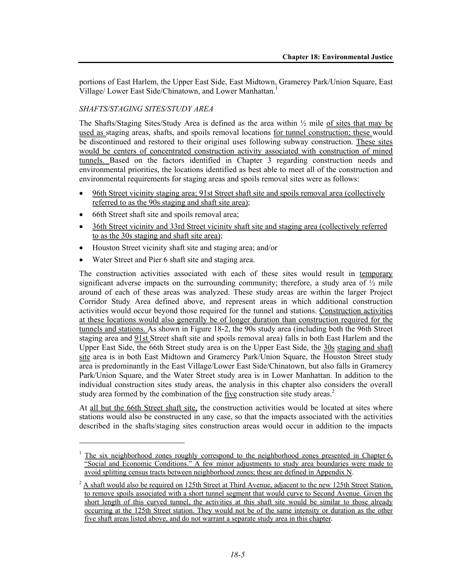portions of East Harlem, the Upper East Side, East Midtown, Gramercy Park/Union Square, East Village/ Lower East Side/Chinatown, and Lower Manhattan.<sup>1</sup>

## *SHAFTS/STAGING SITES/STUDY AREA*

The Shafts/Staging Sites/Study Area is defined as the area within  $\frac{1}{2}$  mile of sites that may be used as staging areas, shafts, and spoils removal locations for tunnel construction; these would be discontinued and restored to their original uses following subway construction. These sites would be centers of concentrated construction activity associated with construction of mined tunnels. Based on the factors identified in Chapter 3 regarding construction needs and environmental priorities, the locations identified as best able to meet all of the construction and environmental requirements for staging areas and spoils removal sites were as follows:

- 96th Street vicinity staging area; 91st Street shaft site and spoils removal area (collectively referred to as the 90s staging and shaft site area);
- 66th Street shaft site and spoils removal area;
- 36th Street vicinity and 33rd Street vicinity shaft site and staging area (collectively referred to as the 30s staging and shaft site area);
- Houston Street vicinity shaft site and staging area; and/or
- Water Street and Pier 6 shaft site and staging area.

l

The construction activities associated with each of these sites would result in temporary significant adverse impacts on the surrounding community; therefore, a study area of  $\frac{1}{2}$  mile around of each of these areas was analyzed. These study areas are within the larger Project Corridor Study Area defined above, and represent areas in which additional construction activities would occur beyond those required for the tunnel and stations. Construction activities at these locations would also generally be of longer duration than construction required for the tunnels and stations. As shown in Figure 18-2, the 90s study area (including both the 96th Street staging area and 91st Street shaft site and spoils removal area) falls in both East Harlem and the Upper East Side, the 66th Street study area is on the Upper East Side, the 30s staging and shaft site area is in both East Midtown and Gramercy Park/Union Square, the Houston Street study area is predominantly in the East Village/Lower East Side/Chinatown, but also falls in Gramercy Park/Union Square, and the Water Street study area is in Lower Manhattan. In addition to the individual construction sites study areas, the analysis in this chapter also considers the overall study area formed by the combination of the five construction site study areas.<sup>2</sup>

At all but the 66th Street shaft site, the construction activities would be located at sites where stations would also be constructed in any case, so that the impacts associated with the activities described in the shafts/staging sites construction areas would occur in addition to the impacts

<sup>1</sup> The six neighborhood zones roughly correspond to the neighborhood zones presented in Chapter 6, "Social and Economic Conditions." A few minor adjustments to study area boundaries were made to avoid splitting census tracts between neighborhood zones; these are defined in Appendix N.

 $2 \text{ A shaft would also be required on 125th Street at Third Avenue, adjacent to the new 125th Street Station, }$ to remove spoils associated with a short tunnel segment that would curve to Second Avenue. Given the short length of this curved tunnel, the activities at this shaft site would be similar to those already occurring at the 125th Street station. They would not be of the same intensity or duration as the other five shaft areas listed above, and do not warrant a separate study area in this chapter.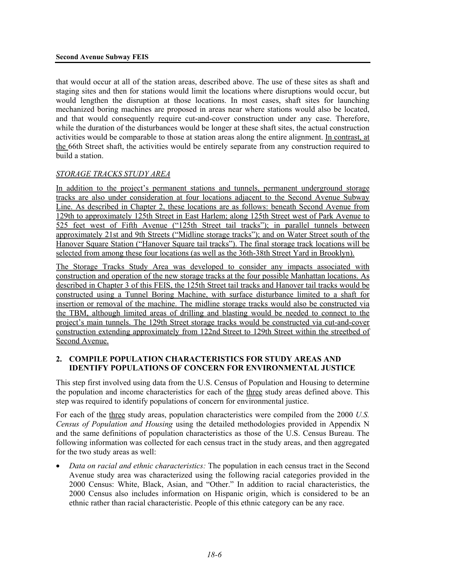that would occur at all of the station areas, described above. The use of these sites as shaft and staging sites and then for stations would limit the locations where disruptions would occur, but would lengthen the disruption at those locations. In most cases, shaft sites for launching mechanized boring machines are proposed in areas near where stations would also be located, and that would consequently require cut-and-cover construction under any case. Therefore, while the duration of the disturbances would be longer at these shaft sites, the actual construction activities would be comparable to those at station areas along the entire alignment. In contrast, at the 66th Street shaft, the activities would be entirely separate from any construction required to build a station.

# *STORAGE TRACKS STUDY AREA*

In addition to the project's permanent stations and tunnels, permanent underground storage tracks are also under consideration at four locations adjacent to the Second Avenue Subway Line. As described in Chapter 2, these locations are as follows: beneath Second Avenue from 129th to approximately 125th Street in East Harlem; along 125th Street west of Park Avenue to 525 feet west of Fifth Avenue ("125th Street tail tracks"); in parallel tunnels between approximately 21st and 9th Streets ("Midline storage tracks"); and on Water Street south of the Hanover Square Station ("Hanover Square tail tracks"). The final storage track locations will be selected from among these four locations (as well as the 36th-38th Street Yard in Brooklyn).

The Storage Tracks Study Area was developed to consider any impacts associated with construction and operation of the new storage tracks at the four possible Manhattan locations. As described in Chapter 3 of this FEIS, the 125th Street tail tracks and Hanover tail tracks would be constructed using a Tunnel Boring Machine, with surface disturbance limited to a shaft for insertion or removal of the machine. The midline storage tracks would also be constructed via the TBM, although limited areas of drilling and blasting would be needed to connect to the project's main tunnels. The 129th Street storage tracks would be constructed via cut-and-cover construction extending approximately from 122nd Street to 129th Street within the streetbed of Second Avenue.

## **2. COMPILE POPULATION CHARACTERISTICS FOR STUDY AREAS AND IDENTIFY POPULATIONS OF CONCERN FOR ENVIRONMENTAL JUSTICE**

This step first involved using data from the U.S. Census of Population and Housing to determine the population and income characteristics for each of the three study areas defined above. This step was required to identify populations of concern for environmental justice.

For each of the three study areas, population characteristics were compiled from the 2000 *U.S. Census of Population and Housing* using the detailed methodologies provided in Appendix N and the same definitions of population characteristics as those of the U.S. Census Bureau. The following information was collected for each census tract in the study areas, and then aggregated for the two study areas as well:

• *Data on racial and ethnic characteristics:* The population in each census tract in the Second Avenue study area was characterized using the following racial categories provided in the 2000 Census: White, Black, Asian, and "Other." In addition to racial characteristics, the 2000 Census also includes information on Hispanic origin, which is considered to be an ethnic rather than racial characteristic. People of this ethnic category can be any race.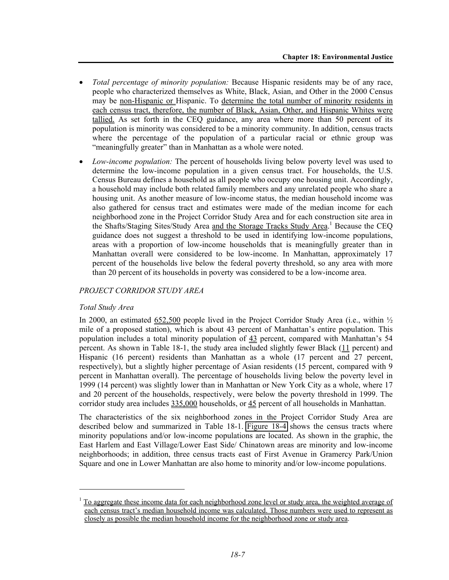- *Total percentage of minority population:* Because Hispanic residents may be of any race, people who characterized themselves as White, Black, Asian, and Other in the 2000 Census may be non-Hispanic or Hispanic. To determine the total number of minority residents in each census tract, therefore, the number of Black, Asian, Other, and Hispanic Whites were tallied. As set forth in the CEQ guidance, any area where more than 50 percent of its population is minority was considered to be a minority community. In addition, census tracts where the percentage of the population of a particular racial or ethnic group was "meaningfully greater" than in Manhattan as a whole were noted.
- *Low-income population:* The percent of households living below poverty level was used to determine the low-income population in a given census tract. For households, the U.S. Census Bureau defines a household as all people who occupy one housing unit. Accordingly, a household may include both related family members and any unrelated people who share a housing unit. As another measure of low-income status, the median household income was also gathered for census tract and estimates were made of the median income for each neighborhood zone in the Project Corridor Study Area and for each construction site area in the Shafts/Staging Sites/Study Area and the Storage Tracks Study Area.<sup>1</sup> Because the CEQ guidance does not suggest a threshold to be used in identifying low-income populations, areas with a proportion of low-income households that is meaningfully greater than in Manhattan overall were considered to be low-income. In Manhattan, approximately 17 percent of the households live below the federal poverty threshold, so any area with more than 20 percent of its households in poverty was considered to be a low-income area.

### *PROJECT CORRIDOR STUDY AREA*

#### *Total Study Area*

1

In 2000, an estimated  $652,500$  people lived in the Project Corridor Study Area (i.e., within  $\frac{1}{2}$ ) mile of a proposed station), which is about 43 percent of Manhattan's entire population. This population includes a total minority population of 43 percent, compared with Manhattan's 54 percent. As shown in Table 18-1, the study area included slightly fewer Black (11 percent) and Hispanic (16 percent) residents than Manhattan as a whole (17 percent and 27 percent, respectively), but a slightly higher percentage of Asian residents (15 percent, compared with 9 percent in Manhattan overall). The percentage of households living below the poverty level in 1999 (14 percent) was slightly lower than in Manhattan or New York City as a whole, where 17 and 20 percent of the households, respectively, were below the poverty threshold in 1999. The corridor study area includes 335,000 households, or 45 percent of all households in Manhattan.

The characteristics of the six neighborhood zones in the Project Corridor Study Area are described below and summarized in Table 18-1. Figure 18-4 shows the census tracts where minority populations and/or low-income populations are located. As shown in the graphic, the East Harlem and East Village/Lower East Side/ Chinatown areas are minority and low-income neighborhoods; in addition, three census tracts east of First Avenue in Gramercy Park/Union Square and one in Lower Manhattan are also home to minority and/or low-income populations.

<sup>1</sup> To aggregate these income data for each neighborhood zone level or study area, the weighted average of each census tract's median household income was calculated. Those numbers were used to represent as closely as possible the median household income for the neighborhood zone or study area.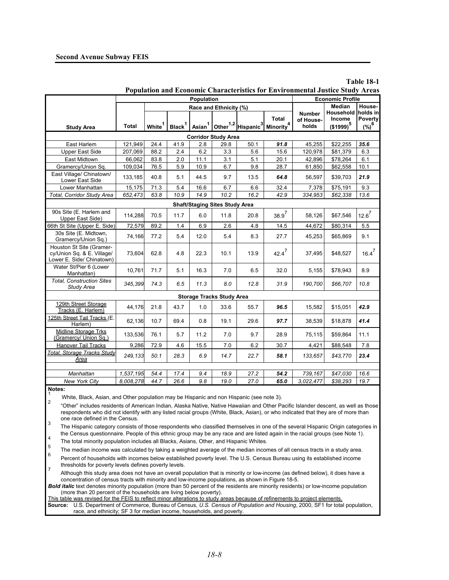| Population<br><b>Economic Profile</b><br>Median<br>Race and Ethnicity (%)<br>holds in<br><b>Household</b><br><b>Number</b><br>Total<br><b>Income</b><br><b>Poverty</b><br>of House-<br>Asian <sup>1</sup> Other <sup>1,2</sup> Hispanic <sup>3</sup><br>Minority <sup>4</sup><br>$(\%)^6$<br>Black <sup>1</sup><br>$(1999)^5$<br>White <sup>1</sup><br><b>Total</b><br>holds<br><b>Study Area</b><br><b>Corridor Study Area</b><br>2.8<br>50.1<br>35.6<br>East Harlem<br>121,949<br>24.4<br>41.9<br>29.8<br>91.8<br>45,255<br>\$22,255<br>88.2<br>6.2<br><b>Upper East Side</b><br>207,069<br>3.3<br>5.6<br>15.6<br>120,978<br>\$81,379<br>6.3<br>2.4<br>East Midtown<br>66,062<br>83.8<br>2.0<br>11.1<br>3.1<br>5.1<br>42,896<br>\$78,264<br>6.1<br>20.1<br>Gramercy/Union Sq.<br>109,034<br>76.5<br>5.9<br>10.9<br>6.7<br>9.8<br>28.7<br>61,850<br>\$62,558<br>10.1<br>East Village/ Chinatown/<br>40.8<br>21.9<br>133,185<br>5.1<br>44.5<br>9.7<br>13.5<br>64.8<br>56,597<br>\$39,703<br>Lower East Side<br>15,175<br>71.3<br>6.7<br>\$75,191<br>9.3<br>Lower Manhattan<br>5.4<br>16.6<br>6.6<br>32.4<br>7,378<br>Total, Corridor Study Area<br>652,473<br>63.8<br>10.9<br>14.9<br>10.2<br>16.2<br>42.9<br>334,953<br>\$62,338<br>13.6<br><b>Shaft/Staging Sites Study Area</b><br>90s Site (E. Harlem and<br>$12.6^7$<br>$38.9^{7}$<br>114,288<br>70.5<br>11.7<br>6.0<br>11.8<br>20.8<br>58,126<br>\$67,546<br>Upper East Side)<br>66th St Site (Upper E. Side)<br>5.5<br>72,579<br>89.2<br>1.4<br>6.9<br>2.6<br>4.8<br>14.5<br>44,672<br>\$80,314<br>30s Site (E. Midtown,<br>77.2<br>9.1<br>74,166<br>5.4<br>12.0<br>5.4<br>8.3<br>27.7<br>45,253<br>\$65,869<br>Gramercy/Union Sq.)<br>Houston St Site (Gramer-<br>$16.4^7$<br>$42.4^7$<br>cy/Union Sq. & E. Village/<br>73,604<br>62.8<br>4.8<br>22.3<br>10.1<br>13.9<br>37,495<br>\$48,527<br>Lower E. Side/ Chinatown)<br>Water St/Pier 6 (Lower<br>8.9<br>10,761<br>71.7<br>5.1<br>16.3<br>6.5<br>32.0<br>\$78,943<br>7.0<br>5,155<br>Manhattan)<br><b>Total, Construction Sites</b><br>74.3<br>11.3<br>10.8<br>345,399<br>6.5<br>8.0<br>12.8<br>31.9<br>190,700<br>\$66,707<br><b>Study Area</b><br><b>Storage Tracks Study Area</b><br>129th Street Storage<br>44,176<br>21.8<br>43.7<br>1.0<br>33.6<br>15,582<br>42.9<br>55.7<br>96.5<br>\$15,051<br>Tracks (E. Harlem)<br>125th Street Tail Tracks (E.<br>62,136<br>41.4<br>10.7<br>69.4<br>0.8<br>19.1<br>29.6<br>97.7<br>38,539<br>\$18,878<br>Harlem)<br>Midline Storage Trks<br>11.1<br>133,536<br>76.1<br>5.7<br>11.2<br>7.0<br>9.7<br>28.9<br>\$59,864<br>75,115<br>(Gramercy/ Union Sq.)<br>7.8<br>Hanover Tail Tracks<br>9,286<br>72.9<br>15.5<br>7.0<br>6.2<br>30.7<br>\$88,548<br>4.6<br>4,421<br>Total, Storage Tracks Study<br>249,133<br>50.1<br>6.9<br>23.4<br>28.3<br>14.7<br>22.7<br>58.1<br>133,657<br>\$43,770<br>Area<br>27.2<br>16.6<br>Manhattan<br>1,537,195<br>54.4<br>17.4<br>9.4<br>18.9<br>54.2<br>739,167<br>\$47,030<br>9.8<br>27.0<br>65.0<br>19.7<br><b>New York City</b><br>8,008,278<br>44.7<br>26.6<br>19.0<br>3,022,477<br>\$38,293 | Population and Economic Characteristics for Environmental Justice Study Areas |  |  |  |  |  |  |  |  |  |        |  |
|--------------------------------------------------------------------------------------------------------------------------------------------------------------------------------------------------------------------------------------------------------------------------------------------------------------------------------------------------------------------------------------------------------------------------------------------------------------------------------------------------------------------------------------------------------------------------------------------------------------------------------------------------------------------------------------------------------------------------------------------------------------------------------------------------------------------------------------------------------------------------------------------------------------------------------------------------------------------------------------------------------------------------------------------------------------------------------------------------------------------------------------------------------------------------------------------------------------------------------------------------------------------------------------------------------------------------------------------------------------------------------------------------------------------------------------------------------------------------------------------------------------------------------------------------------------------------------------------------------------------------------------------------------------------------------------------------------------------------------------------------------------------------------------------------------------------------------------------------------------------------------------------------------------------------------------------------------------------------------------------------------------------------------------------------------------------------------------------------------------------------------------------------------------------------------------------------------------------------------------------------------------------------------------------------------------------------------------------------------------------------------------------------------------------------------------------------------------------------------------------------------------------------------------------------------------------------------------------------------------------------------------------------------------------------------------------------------------------------------------------------------------------------------------------------------------------------------------------------------------------------------------------------------------------------------------------------------------------------------------------------------------------------------------------------------------------------------------|-------------------------------------------------------------------------------|--|--|--|--|--|--|--|--|--|--------|--|
|                                                                                                                                                                                                                                                                                                                                                                                                                                                                                                                                                                                                                                                                                                                                                                                                                                                                                                                                                                                                                                                                                                                                                                                                                                                                                                                                                                                                                                                                                                                                                                                                                                                                                                                                                                                                                                                                                                                                                                                                                                                                                                                                                                                                                                                                                                                                                                                                                                                                                                                                                                                                                                                                                                                                                                                                                                                                                                                                                                                                                                                                                      |                                                                               |  |  |  |  |  |  |  |  |  |        |  |
|                                                                                                                                                                                                                                                                                                                                                                                                                                                                                                                                                                                                                                                                                                                                                                                                                                                                                                                                                                                                                                                                                                                                                                                                                                                                                                                                                                                                                                                                                                                                                                                                                                                                                                                                                                                                                                                                                                                                                                                                                                                                                                                                                                                                                                                                                                                                                                                                                                                                                                                                                                                                                                                                                                                                                                                                                                                                                                                                                                                                                                                                                      |                                                                               |  |  |  |  |  |  |  |  |  | House- |  |
|                                                                                                                                                                                                                                                                                                                                                                                                                                                                                                                                                                                                                                                                                                                                                                                                                                                                                                                                                                                                                                                                                                                                                                                                                                                                                                                                                                                                                                                                                                                                                                                                                                                                                                                                                                                                                                                                                                                                                                                                                                                                                                                                                                                                                                                                                                                                                                                                                                                                                                                                                                                                                                                                                                                                                                                                                                                                                                                                                                                                                                                                                      |                                                                               |  |  |  |  |  |  |  |  |  |        |  |
|                                                                                                                                                                                                                                                                                                                                                                                                                                                                                                                                                                                                                                                                                                                                                                                                                                                                                                                                                                                                                                                                                                                                                                                                                                                                                                                                                                                                                                                                                                                                                                                                                                                                                                                                                                                                                                                                                                                                                                                                                                                                                                                                                                                                                                                                                                                                                                                                                                                                                                                                                                                                                                                                                                                                                                                                                                                                                                                                                                                                                                                                                      |                                                                               |  |  |  |  |  |  |  |  |  |        |  |
|                                                                                                                                                                                                                                                                                                                                                                                                                                                                                                                                                                                                                                                                                                                                                                                                                                                                                                                                                                                                                                                                                                                                                                                                                                                                                                                                                                                                                                                                                                                                                                                                                                                                                                                                                                                                                                                                                                                                                                                                                                                                                                                                                                                                                                                                                                                                                                                                                                                                                                                                                                                                                                                                                                                                                                                                                                                                                                                                                                                                                                                                                      |                                                                               |  |  |  |  |  |  |  |  |  |        |  |
|                                                                                                                                                                                                                                                                                                                                                                                                                                                                                                                                                                                                                                                                                                                                                                                                                                                                                                                                                                                                                                                                                                                                                                                                                                                                                                                                                                                                                                                                                                                                                                                                                                                                                                                                                                                                                                                                                                                                                                                                                                                                                                                                                                                                                                                                                                                                                                                                                                                                                                                                                                                                                                                                                                                                                                                                                                                                                                                                                                                                                                                                                      |                                                                               |  |  |  |  |  |  |  |  |  |        |  |
|                                                                                                                                                                                                                                                                                                                                                                                                                                                                                                                                                                                                                                                                                                                                                                                                                                                                                                                                                                                                                                                                                                                                                                                                                                                                                                                                                                                                                                                                                                                                                                                                                                                                                                                                                                                                                                                                                                                                                                                                                                                                                                                                                                                                                                                                                                                                                                                                                                                                                                                                                                                                                                                                                                                                                                                                                                                                                                                                                                                                                                                                                      |                                                                               |  |  |  |  |  |  |  |  |  |        |  |
|                                                                                                                                                                                                                                                                                                                                                                                                                                                                                                                                                                                                                                                                                                                                                                                                                                                                                                                                                                                                                                                                                                                                                                                                                                                                                                                                                                                                                                                                                                                                                                                                                                                                                                                                                                                                                                                                                                                                                                                                                                                                                                                                                                                                                                                                                                                                                                                                                                                                                                                                                                                                                                                                                                                                                                                                                                                                                                                                                                                                                                                                                      |                                                                               |  |  |  |  |  |  |  |  |  |        |  |
|                                                                                                                                                                                                                                                                                                                                                                                                                                                                                                                                                                                                                                                                                                                                                                                                                                                                                                                                                                                                                                                                                                                                                                                                                                                                                                                                                                                                                                                                                                                                                                                                                                                                                                                                                                                                                                                                                                                                                                                                                                                                                                                                                                                                                                                                                                                                                                                                                                                                                                                                                                                                                                                                                                                                                                                                                                                                                                                                                                                                                                                                                      |                                                                               |  |  |  |  |  |  |  |  |  |        |  |
|                                                                                                                                                                                                                                                                                                                                                                                                                                                                                                                                                                                                                                                                                                                                                                                                                                                                                                                                                                                                                                                                                                                                                                                                                                                                                                                                                                                                                                                                                                                                                                                                                                                                                                                                                                                                                                                                                                                                                                                                                                                                                                                                                                                                                                                                                                                                                                                                                                                                                                                                                                                                                                                                                                                                                                                                                                                                                                                                                                                                                                                                                      |                                                                               |  |  |  |  |  |  |  |  |  |        |  |
|                                                                                                                                                                                                                                                                                                                                                                                                                                                                                                                                                                                                                                                                                                                                                                                                                                                                                                                                                                                                                                                                                                                                                                                                                                                                                                                                                                                                                                                                                                                                                                                                                                                                                                                                                                                                                                                                                                                                                                                                                                                                                                                                                                                                                                                                                                                                                                                                                                                                                                                                                                                                                                                                                                                                                                                                                                                                                                                                                                                                                                                                                      |                                                                               |  |  |  |  |  |  |  |  |  |        |  |
|                                                                                                                                                                                                                                                                                                                                                                                                                                                                                                                                                                                                                                                                                                                                                                                                                                                                                                                                                                                                                                                                                                                                                                                                                                                                                                                                                                                                                                                                                                                                                                                                                                                                                                                                                                                                                                                                                                                                                                                                                                                                                                                                                                                                                                                                                                                                                                                                                                                                                                                                                                                                                                                                                                                                                                                                                                                                                                                                                                                                                                                                                      |                                                                               |  |  |  |  |  |  |  |  |  |        |  |
|                                                                                                                                                                                                                                                                                                                                                                                                                                                                                                                                                                                                                                                                                                                                                                                                                                                                                                                                                                                                                                                                                                                                                                                                                                                                                                                                                                                                                                                                                                                                                                                                                                                                                                                                                                                                                                                                                                                                                                                                                                                                                                                                                                                                                                                                                                                                                                                                                                                                                                                                                                                                                                                                                                                                                                                                                                                                                                                                                                                                                                                                                      |                                                                               |  |  |  |  |  |  |  |  |  |        |  |
|                                                                                                                                                                                                                                                                                                                                                                                                                                                                                                                                                                                                                                                                                                                                                                                                                                                                                                                                                                                                                                                                                                                                                                                                                                                                                                                                                                                                                                                                                                                                                                                                                                                                                                                                                                                                                                                                                                                                                                                                                                                                                                                                                                                                                                                                                                                                                                                                                                                                                                                                                                                                                                                                                                                                                                                                                                                                                                                                                                                                                                                                                      |                                                                               |  |  |  |  |  |  |  |  |  |        |  |
|                                                                                                                                                                                                                                                                                                                                                                                                                                                                                                                                                                                                                                                                                                                                                                                                                                                                                                                                                                                                                                                                                                                                                                                                                                                                                                                                                                                                                                                                                                                                                                                                                                                                                                                                                                                                                                                                                                                                                                                                                                                                                                                                                                                                                                                                                                                                                                                                                                                                                                                                                                                                                                                                                                                                                                                                                                                                                                                                                                                                                                                                                      |                                                                               |  |  |  |  |  |  |  |  |  |        |  |
|                                                                                                                                                                                                                                                                                                                                                                                                                                                                                                                                                                                                                                                                                                                                                                                                                                                                                                                                                                                                                                                                                                                                                                                                                                                                                                                                                                                                                                                                                                                                                                                                                                                                                                                                                                                                                                                                                                                                                                                                                                                                                                                                                                                                                                                                                                                                                                                                                                                                                                                                                                                                                                                                                                                                                                                                                                                                                                                                                                                                                                                                                      |                                                                               |  |  |  |  |  |  |  |  |  |        |  |
|                                                                                                                                                                                                                                                                                                                                                                                                                                                                                                                                                                                                                                                                                                                                                                                                                                                                                                                                                                                                                                                                                                                                                                                                                                                                                                                                                                                                                                                                                                                                                                                                                                                                                                                                                                                                                                                                                                                                                                                                                                                                                                                                                                                                                                                                                                                                                                                                                                                                                                                                                                                                                                                                                                                                                                                                                                                                                                                                                                                                                                                                                      |                                                                               |  |  |  |  |  |  |  |  |  |        |  |
|                                                                                                                                                                                                                                                                                                                                                                                                                                                                                                                                                                                                                                                                                                                                                                                                                                                                                                                                                                                                                                                                                                                                                                                                                                                                                                                                                                                                                                                                                                                                                                                                                                                                                                                                                                                                                                                                                                                                                                                                                                                                                                                                                                                                                                                                                                                                                                                                                                                                                                                                                                                                                                                                                                                                                                                                                                                                                                                                                                                                                                                                                      |                                                                               |  |  |  |  |  |  |  |  |  |        |  |
|                                                                                                                                                                                                                                                                                                                                                                                                                                                                                                                                                                                                                                                                                                                                                                                                                                                                                                                                                                                                                                                                                                                                                                                                                                                                                                                                                                                                                                                                                                                                                                                                                                                                                                                                                                                                                                                                                                                                                                                                                                                                                                                                                                                                                                                                                                                                                                                                                                                                                                                                                                                                                                                                                                                                                                                                                                                                                                                                                                                                                                                                                      |                                                                               |  |  |  |  |  |  |  |  |  |        |  |
|                                                                                                                                                                                                                                                                                                                                                                                                                                                                                                                                                                                                                                                                                                                                                                                                                                                                                                                                                                                                                                                                                                                                                                                                                                                                                                                                                                                                                                                                                                                                                                                                                                                                                                                                                                                                                                                                                                                                                                                                                                                                                                                                                                                                                                                                                                                                                                                                                                                                                                                                                                                                                                                                                                                                                                                                                                                                                                                                                                                                                                                                                      |                                                                               |  |  |  |  |  |  |  |  |  |        |  |
|                                                                                                                                                                                                                                                                                                                                                                                                                                                                                                                                                                                                                                                                                                                                                                                                                                                                                                                                                                                                                                                                                                                                                                                                                                                                                                                                                                                                                                                                                                                                                                                                                                                                                                                                                                                                                                                                                                                                                                                                                                                                                                                                                                                                                                                                                                                                                                                                                                                                                                                                                                                                                                                                                                                                                                                                                                                                                                                                                                                                                                                                                      |                                                                               |  |  |  |  |  |  |  |  |  |        |  |
|                                                                                                                                                                                                                                                                                                                                                                                                                                                                                                                                                                                                                                                                                                                                                                                                                                                                                                                                                                                                                                                                                                                                                                                                                                                                                                                                                                                                                                                                                                                                                                                                                                                                                                                                                                                                                                                                                                                                                                                                                                                                                                                                                                                                                                                                                                                                                                                                                                                                                                                                                                                                                                                                                                                                                                                                                                                                                                                                                                                                                                                                                      |                                                                               |  |  |  |  |  |  |  |  |  |        |  |
|                                                                                                                                                                                                                                                                                                                                                                                                                                                                                                                                                                                                                                                                                                                                                                                                                                                                                                                                                                                                                                                                                                                                                                                                                                                                                                                                                                                                                                                                                                                                                                                                                                                                                                                                                                                                                                                                                                                                                                                                                                                                                                                                                                                                                                                                                                                                                                                                                                                                                                                                                                                                                                                                                                                                                                                                                                                                                                                                                                                                                                                                                      |                                                                               |  |  |  |  |  |  |  |  |  |        |  |
|                                                                                                                                                                                                                                                                                                                                                                                                                                                                                                                                                                                                                                                                                                                                                                                                                                                                                                                                                                                                                                                                                                                                                                                                                                                                                                                                                                                                                                                                                                                                                                                                                                                                                                                                                                                                                                                                                                                                                                                                                                                                                                                                                                                                                                                                                                                                                                                                                                                                                                                                                                                                                                                                                                                                                                                                                                                                                                                                                                                                                                                                                      |                                                                               |  |  |  |  |  |  |  |  |  |        |  |
|                                                                                                                                                                                                                                                                                                                                                                                                                                                                                                                                                                                                                                                                                                                                                                                                                                                                                                                                                                                                                                                                                                                                                                                                                                                                                                                                                                                                                                                                                                                                                                                                                                                                                                                                                                                                                                                                                                                                                                                                                                                                                                                                                                                                                                                                                                                                                                                                                                                                                                                                                                                                                                                                                                                                                                                                                                                                                                                                                                                                                                                                                      |                                                                               |  |  |  |  |  |  |  |  |  |        |  |
|                                                                                                                                                                                                                                                                                                                                                                                                                                                                                                                                                                                                                                                                                                                                                                                                                                                                                                                                                                                                                                                                                                                                                                                                                                                                                                                                                                                                                                                                                                                                                                                                                                                                                                                                                                                                                                                                                                                                                                                                                                                                                                                                                                                                                                                                                                                                                                                                                                                                                                                                                                                                                                                                                                                                                                                                                                                                                                                                                                                                                                                                                      |                                                                               |  |  |  |  |  |  |  |  |  |        |  |
|                                                                                                                                                                                                                                                                                                                                                                                                                                                                                                                                                                                                                                                                                                                                                                                                                                                                                                                                                                                                                                                                                                                                                                                                                                                                                                                                                                                                                                                                                                                                                                                                                                                                                                                                                                                                                                                                                                                                                                                                                                                                                                                                                                                                                                                                                                                                                                                                                                                                                                                                                                                                                                                                                                                                                                                                                                                                                                                                                                                                                                                                                      |                                                                               |  |  |  |  |  |  |  |  |  |        |  |
|                                                                                                                                                                                                                                                                                                                                                                                                                                                                                                                                                                                                                                                                                                                                                                                                                                                                                                                                                                                                                                                                                                                                                                                                                                                                                                                                                                                                                                                                                                                                                                                                                                                                                                                                                                                                                                                                                                                                                                                                                                                                                                                                                                                                                                                                                                                                                                                                                                                                                                                                                                                                                                                                                                                                                                                                                                                                                                                                                                                                                                                                                      |                                                                               |  |  |  |  |  |  |  |  |  |        |  |
|                                                                                                                                                                                                                                                                                                                                                                                                                                                                                                                                                                                                                                                                                                                                                                                                                                                                                                                                                                                                                                                                                                                                                                                                                                                                                                                                                                                                                                                                                                                                                                                                                                                                                                                                                                                                                                                                                                                                                                                                                                                                                                                                                                                                                                                                                                                                                                                                                                                                                                                                                                                                                                                                                                                                                                                                                                                                                                                                                                                                                                                                                      | Notoe:                                                                        |  |  |  |  |  |  |  |  |  |        |  |

# **Population and Economic Characteristics for Environmental Justice Study Areas**

**Table 18-1**

**Notes:** 

1 White, Black, Asian, and Other population may be Hispanic and non Hispanic (see note 3).

<sup>2</sup> "Other" includes residents of American Indian, Alaska Native, Native Hawaiian and Other Pacific Islander descent, as well as those respondents who did not identify with any listed racial groups (White, Black, Asian), or who indicated that they are of more than one race defined in the Census.

3 The Hispanic category consists of those respondents who classified themselves in one of the several Hispanic Origin categories in the Census questionnaire. People of this ethnic group may be any race and are listed again in the racial groups (see Note 1).<br>The total minority population includes all Blacks, Asians, Other, and Hispanic Whites.

5 The median income was calculated by taking a weighted average of the median incomes of all census tracts in a study area. 6

Percent of households with incomes below established poverty level. The U.S. Census Bureau using its established income

thresholds for poverty levels defines poverty levels.<br>Although this study area does not have an overall population that is minority or low-income (as defined below), it does have a concentration of census tracts with minority and low-income populations, as shown in Figure 18-5.

*Bold italic* text denotes minority population (more than 50 percent of the residents are minority residents) or low-income population (more than 20 percent of the households are living below poverty).

This table was revised for the FEIS to reflect minor alterations to study areas because of refinements to project elements

**Source:** U.S. Department of Commerce, Bureau of Census, *U.S. Census of Population and Housing*, 2000, SF1 for total population, race, and ethnicity; SF 3 for median income, households, and poverty.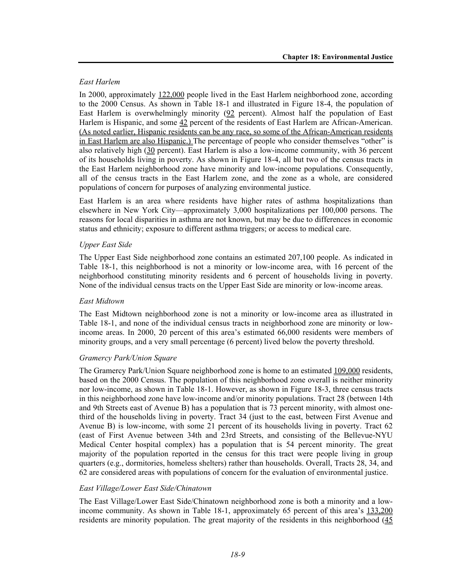### *East Harlem*

In 2000, approximately 122,000 people lived in the East Harlem neighborhood zone, according to the 2000 Census. As shown in Table 18-1 and illustrated in Figure 18-4, the population of East Harlem is overwhelmingly minority (92 percent). Almost half the population of East Harlem is Hispanic, and some 42 percent of the residents of East Harlem are African-American. (As noted earlier, Hispanic residents can be any race, so some of the African-American residents in East Harlem are also Hispanic.) The percentage of people who consider themselves "other" is also relatively high (30 percent). East Harlem is also a low-income community, with 36 percent of its households living in poverty. As shown in Figure 18-4, all but two of the census tracts in the East Harlem neighborhood zone have minority and low-income populations. Consequently, all of the census tracts in the East Harlem zone, and the zone as a whole, are considered populations of concern for purposes of analyzing environmental justice.

East Harlem is an area where residents have higher rates of asthma hospitalizations than elsewhere in New York City—approximately 3,000 hospitalizations per 100,000 persons. The reasons for local disparities in asthma are not known, but may be due to differences in economic status and ethnicity; exposure to different asthma triggers; or access to medical care.

# *Upper East Side*

The Upper East Side neighborhood zone contains an estimated 207,100 people. As indicated in Table 18-1, this neighborhood is not a minority or low-income area, with 16 percent of the neighborhood constituting minority residents and 6 percent of households living in poverty. None of the individual census tracts on the Upper East Side are minority or low-income areas.

#### *East Midtown*

The East Midtown neighborhood zone is not a minority or low-income area as illustrated in Table 18-1, and none of the individual census tracts in neighborhood zone are minority or lowincome areas. In 2000, 20 percent of this area's estimated 66,000 residents were members of minority groups, and a very small percentage (6 percent) lived below the poverty threshold.

#### *Gramercy Park/Union Square*

The Gramercy Park/Union Square neighborhood zone is home to an estimated 109,000 residents, based on the 2000 Census. The population of this neighborhood zone overall is neither minority nor low-income, as shown in Table 18-1. However, as shown in Figure 18-3, three census tracts in this neighborhood zone have low-income and/or minority populations. Tract 28 (between 14th and 9th Streets east of Avenue B) has a population that is 73 percent minority, with almost onethird of the households living in poverty. Tract 34 (just to the east, between First Avenue and Avenue B) is low-income, with some 21 percent of its households living in poverty. Tract 62 (east of First Avenue between 34th and 23rd Streets, and consisting of the Bellevue-NYU Medical Center hospital complex) has a population that is 54 percent minority. The great majority of the population reported in the census for this tract were people living in group quarters (e.g., dormitories, homeless shelters) rather than households. Overall, Tracts 28, 34, and 62 are considered areas with populations of concern for the evaluation of environmental justice.

#### *East Village/Lower East Side/Chinatown*

The East Village/Lower East Side/Chinatown neighborhood zone is both a minority and a lowincome community. As shown in Table 18-1, approximately 65 percent of this area's 133,200 residents are minority population. The great majority of the residents in this neighborhood (45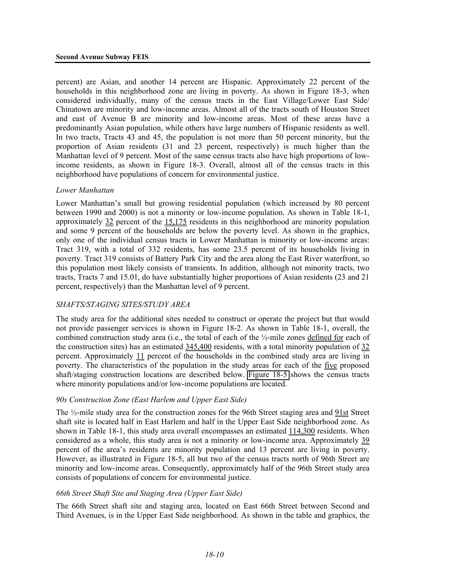percent) are Asian, and another 14 percent are Hispanic. Approximately 22 percent of the households in this neighborhood zone are living in poverty. As shown in Figure 18-3, when considered individually, many of the census tracts in the East Village/Lower East Side/ Chinatown are minority and low-income areas. Almost all of the tracts south of Houston Street and east of Avenue B are minority and low-income areas. Most of these areas have a predominantly Asian population, while others have large numbers of Hispanic residents as well. In two tracts, Tracts 43 and 45, the population is not more than 50 percent minority, but the proportion of Asian residents (31 and 23 percent, respectively) is much higher than the Manhattan level of 9 percent. Most of the same census tracts also have high proportions of lowincome residents, as shown in Figure 18-3. Overall, almost all of the census tracts in this neighborhood have populations of concern for environmental justice.

#### *Lower Manhattan*

Lower Manhattan's small but growing residential population (which increased by 80 percent between 1990 and 2000) is not a minority or low-income population. As shown in Table 18-1, approximately 32 percent of the 15,175 residents in this neighborhood are minority population and some 9 percent of the households are below the poverty level. As shown in the graphics, only one of the individual census tracts in Lower Manhattan is minority or low-income areas: Tract 319, with a total of 332 residents, has some 23.5 percent of its households living in poverty. Tract 319 consists of Battery Park City and the area along the East River waterfront, so this population most likely consists of transients. In addition, although not minority tracts, two tracts, Tracts 7 and 15.01, do have substantially higher proportions of Asian residents (23 and 21 percent, respectively) than the Manhattan level of 9 percent.

# *SHAFTS/STAGING SITES/STUDY AREA*

The study area for the additional sites needed to construct or operate the project but that would not provide passenger services is shown in Figure 18-2. As shown in Table 18-1, overall, the combined construction study area (i.e., the total of each of the ½-mile zones defined for each of the construction sites) has an estimated 345,400 residents, with a total minority population of 32 percent. Approximately 11 percent of the households in the combined study area are living in poverty. The characteristics of the population in the study areas for each of the five proposed shaft/staging construction locations are described below. Figure 18-5 shows the census tracts where minority populations and/or low-income populations are located.

#### *90s Construction Zone (East Harlem and Upper East Side)*

The ½-mile study area for the construction zones for the 96th Street staging area and 91st Street shaft site is located half in East Harlem and half in the Upper East Side neighborhood zone. As shown in Table 18-1, this study area overall encompasses an estimated  $114,300$  residents. When considered as a whole, this study area is not a minority or low-income area. Approximately 39 percent of the area's residents are minority population and 13 percent are living in poverty. However, as illustrated in Figure 18-5, all but two of the census tracts north of 96th Street are minority and low-income areas. Consequently, approximately half of the 96th Street study area consists of populations of concern for environmental justice.

#### *66th Street Shaft Site and Staging Area (Upper East Side)*

The 66th Street shaft site and staging area, located on East 66th Street between Second and Third Avenues, is in the Upper East Side neighborhood. As shown in the table and graphics, the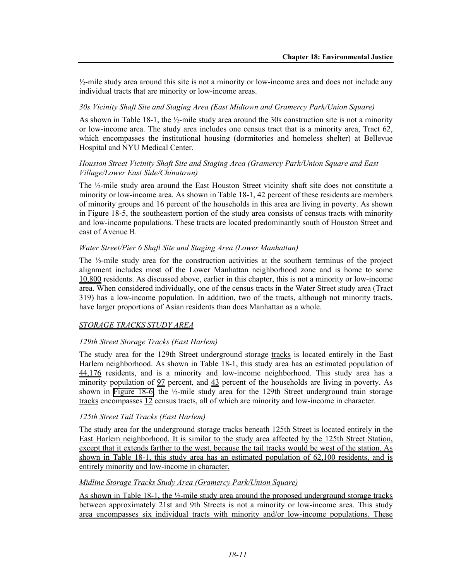$\frac{1}{2}$ -mile study area around this site is not a minority or low-income area and does not include any individual tracts that are minority or low-income areas.

#### *30s Vicinity Shaft Site and Staging Area (East Midtown and Gramercy Park/Union Square)*

As shown in Table 18-1, the  $\frac{1}{2}$ -mile study area around the 30s construction site is not a minority or low-income area. The study area includes one census tract that is a minority area, Tract 62, which encompasses the institutional housing (dormitories and homeless shelter) at Bellevue Hospital and NYU Medical Center.

### *Houston Street Vicinity Shaft Site and Staging Area (Gramercy Park/Union Square and East Village/Lower East Side/Chinatown)*

The ½-mile study area around the East Houston Street vicinity shaft site does not constitute a minority or low-income area. As shown in Table 18-1, 42 percent of these residents are members of minority groups and 16 percent of the households in this area are living in poverty. As shown in Figure 18-5, the southeastern portion of the study area consists of census tracts with minority and low-income populations. These tracts are located predominantly south of Houston Street and east of Avenue B.

#### *Water Street/Pier 6 Shaft Site and Staging Area (Lower Manhattan)*

The ½-mile study area for the construction activities at the southern terminus of the project alignment includes most of the Lower Manhattan neighborhood zone and is home to some 10,800 residents. As discussed above, earlier in this chapter, this is not a minority or low-income area. When considered individually, one of the census tracts in the Water Street study area (Tract 319) has a low-income population. In addition, two of the tracts, although not minority tracts, have larger proportions of Asian residents than does Manhattan as a whole.

#### *STORAGE TRACKS STUDY AREA*

#### *129th Street Storage Tracks (East Harlem)*

The study area for the 129th Street underground storage tracks is located entirely in the East Harlem neighborhood. As shown in Table 18-1, this study area has an estimated population of 44,176 residents, and is a minority and low-income neighborhood. This study area has a minority population of 97 percent, and 43 percent of the households are living in poverty. As shown in Figure 18-6, the ½-mile study area for the 129th Street underground train storage tracks encompasses 12 census tracts, all of which are minority and low-income in character.

#### *125th Street Tail Tracks (East Harlem)*

The study area for the underground storage tracks beneath 125th Street is located entirely in the East Harlem neighborhood. It is similar to the study area affected by the 125th Street Station, except that it extends farther to the west, because the tail tracks would be west of the station. As shown in Table 18-1, this study area has an estimated population of 62,100 residents, and is entirely minority and low-income in character.

#### *Midline Storage Tracks Study Area (Gramercy Park/Union Square)*

As shown in Table 18-1, the  $\frac{1}{2}$ -mile study area around the proposed underground storage tracks between approximately 21st and 9th Streets is not a minority or low-income area. This study area encompasses six individual tracts with minority and/or low-income populations. These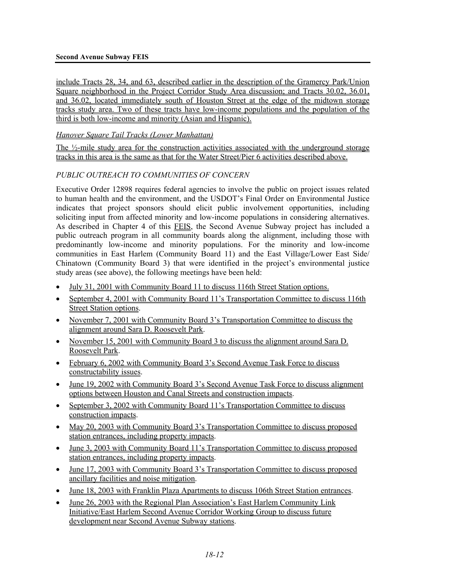#### **Second Avenue Subway FEIS**

include Tracts 28, 34, and 63, described earlier in the description of the Gramercy Park/Union Square neighborhood in the Project Corridor Study Area discussion; and Tracts 30.02, 36.01, and 36.02, located immediately south of Houston Street at the edge of the midtown storage tracks study area. Two of these tracts have low-income populations and the population of the third is both low-income and minority (Asian and Hispanic).

# *Hanover Square Tail Tracks (Lower Manhattan)*

The  $\frac{1}{2}$ -mile study area for the construction activities associated with the underground storage tracks in this area is the same as that for the Water Street/Pier 6 activities described above.

## *PUBLIC OUTREACH TO COMMUNITIES OF CONCERN*

Executive Order 12898 requires federal agencies to involve the public on project issues related to human health and the environment, and the USDOT's Final Order on Environmental Justice indicates that project sponsors should elicit public involvement opportunities, including soliciting input from affected minority and low-income populations in considering alternatives. As described in Chapter 4 of this FEIS, the Second Avenue Subway project has included a public outreach program in all community boards along the alignment, including those with predominantly low-income and minority populations. For the minority and low-income communities in East Harlem (Community Board 11) and the East Village/Lower East Side/ Chinatown (Community Board 3) that were identified in the project's environmental justice study areas (see above), the following meetings have been held:

- July 31, 2001 with Community Board 11 to discuss 116th Street Station options.
- September 4, 2001 with Community Board 11's Transportation Committee to discuss 116th Street Station options.
- November 7, 2001 with Community Board 3's Transportation Committee to discuss the alignment around Sara D. Roosevelt Park.
- November 15, 2001 with Community Board 3 to discuss the alignment around Sara D. Roosevelt Park.
- February 6, 2002 with Community Board 3's Second Avenue Task Force to discuss constructability issues.
- June 19, 2002 with Community Board 3's Second Avenue Task Force to discuss alignment options between Houston and Canal Streets and construction impacts.
- September 3, 2002 with Community Board 11's Transportation Committee to discuss construction impacts.
- May 20, 2003 with Community Board 3's Transportation Committee to discuss proposed station entrances, including property impacts.
- June 3, 2003 with Community Board 11's Transportation Committee to discuss proposed station entrances, including property impacts.
- June 17, 2003 with Community Board 3's Transportation Committee to discuss proposed ancillary facilities and noise mitigation.
- June 18, 2003 with Franklin Plaza Apartments to discuss 106th Street Station entrances.
- June 26, 2003 with the Regional Plan Association's East Harlem Community Link Initiative/East Harlem Second Avenue Corridor Working Group to discuss future development near Second Avenue Subway stations.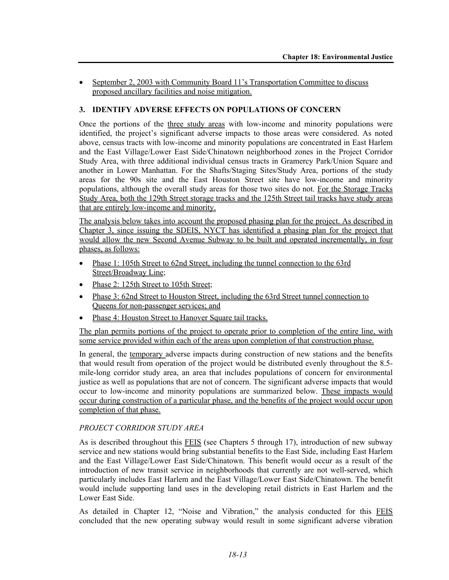• September 2, 2003 with Community Board 11's Transportation Committee to discuss proposed ancillary facilities and noise mitigation.

# **3. IDENTIFY ADVERSE EFFECTS ON POPULATIONS OF CONCERN**

Once the portions of the three study areas with low-income and minority populations were identified, the project's significant adverse impacts to those areas were considered. As noted above, census tracts with low-income and minority populations are concentrated in East Harlem and the East Village/Lower East Side/Chinatown neighborhood zones in the Project Corridor Study Area, with three additional individual census tracts in Gramercy Park/Union Square and another in Lower Manhattan. For the Shafts/Staging Sites/Study Area, portions of the study areas for the 90s site and the East Houston Street site have low-income and minority populations, although the overall study areas for those two sites do not. For the Storage Tracks Study Area, both the 129th Street storage tracks and the 125th Street tail tracks have study areas that are entirely low-income and minority.

The analysis below takes into account the proposed phasing plan for the project. As described in Chapter 3, since issuing the SDEIS, NYCT has identified a phasing plan for the project that would allow the new Second Avenue Subway to be built and operated incrementally, in four phases, as follows:

- Phase 1: 105th Street to 62nd Street, including the tunnel connection to the 63rd Street/Broadway Line;
- Phase 2: 125th Street to 105th Street;
- Phase 3: 62nd Street to Houston Street, including the 63rd Street tunnel connection to Queens for non-passenger services; and
- Phase 4: Houston Street to Hanover Square tail tracks.

The plan permits portions of the project to operate prior to completion of the entire line, with some service provided within each of the areas upon completion of that construction phase.

In general, the temporary adverse impacts during construction of new stations and the benefits that would result from operation of the project would be distributed evenly throughout the 8.5 mile-long corridor study area, an area that includes populations of concern for environmental justice as well as populations that are not of concern. The significant adverse impacts that would occur to low-income and minority populations are summarized below. These impacts would occur during construction of a particular phase, and the benefits of the project would occur upon completion of that phase.

# *PROJECT CORRIDOR STUDY AREA*

As is described throughout this **FEIS** (see Chapters 5 through 17), introduction of new subway service and new stations would bring substantial benefits to the East Side, including East Harlem and the East Village/Lower East Side/Chinatown. This benefit would occur as a result of the introduction of new transit service in neighborhoods that currently are not well-served, which particularly includes East Harlem and the East Village/Lower East Side/Chinatown. The benefit would include supporting land uses in the developing retail districts in East Harlem and the Lower East Side.

As detailed in Chapter 12, "Noise and Vibration," the analysis conducted for this FEIS concluded that the new operating subway would result in some significant adverse vibration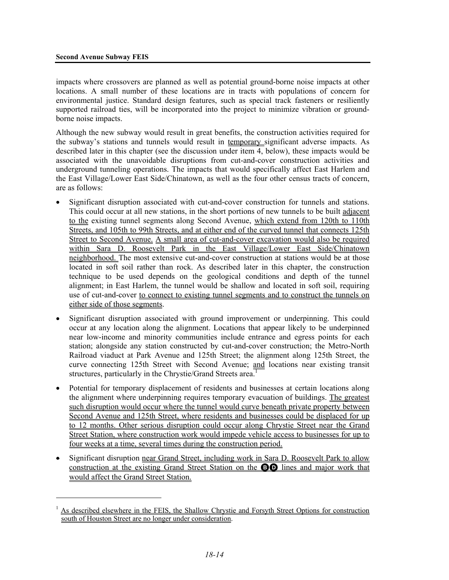<u>.</u>

impacts where crossovers are planned as well as potential ground-borne noise impacts at other locations. A small number of these locations are in tracts with populations of concern for environmental justice. Standard design features, such as special track fasteners or resiliently supported railroad ties, will be incorporated into the project to minimize vibration or groundborne noise impacts.

Although the new subway would result in great benefits, the construction activities required for the subway's stations and tunnels would result in temporary significant adverse impacts. As described later in this chapter (see the discussion under item 4, below), these impacts would be associated with the unavoidable disruptions from cut-and-cover construction activities and underground tunneling operations. The impacts that would specifically affect East Harlem and the East Village/Lower East Side/Chinatown, as well as the four other census tracts of concern, are as follows:

- Significant disruption associated with cut-and-cover construction for tunnels and stations. This could occur at all new stations, in the short portions of new tunnels to be built adjacent to the existing tunnel segments along Second Avenue, which extend from 120th to 110th Streets, and 105th to 99th Streets, and at either end of the curved tunnel that connects 125th Street to Second Avenue. A small area of cut-and-cover excavation would also be required within Sara D. Roosevelt Park in the East Village/Lower East Side/Chinatown neighborhood. The most extensive cut-and-cover construction at stations would be at those located in soft soil rather than rock. As described later in this chapter, the construction technique to be used depends on the geological conditions and depth of the tunnel alignment; in East Harlem, the tunnel would be shallow and located in soft soil, requiring use of cut-and-cover to connect to existing tunnel segments and to construct the tunnels on either side of those segments.
- Significant disruption associated with ground improvement or underpinning. This could occur at any location along the alignment. Locations that appear likely to be underpinned near low-income and minority communities include entrance and egress points for each station; alongside any station constructed by cut-and-cover construction; the Metro-North Railroad viaduct at Park Avenue and 125th Street; the alignment along 125th Street, the curve connecting 125th Street with Second Avenue; and locations near existing transit structures, particularly in the Chrystie/Grand Streets area.<sup>1</sup>
- Potential for temporary displacement of residents and businesses at certain locations along the alignment where underpinning requires temporary evacuation of buildings. The greatest such disruption would occur where the tunnel would curve beneath private property between Second Avenue and 125th Street, where residents and businesses could be displaced for up to 12 months. Other serious disruption could occur along Chrystie Street near the Grand Street Station, where construction work would impede vehicle access to businesses for up to four weeks at a time, several times during the construction period.
- Significant disruption near Grand Street, including work in Sara D. Roosevelt Park to allow construction at the existing Grand Street Station on the BD lines and major work that would affect the Grand Street Station.

<sup>1</sup> As described elsewhere in the FEIS, the Shallow Chrystie and Forsyth Street Options for construction south of Houston Street are no longer under consideration.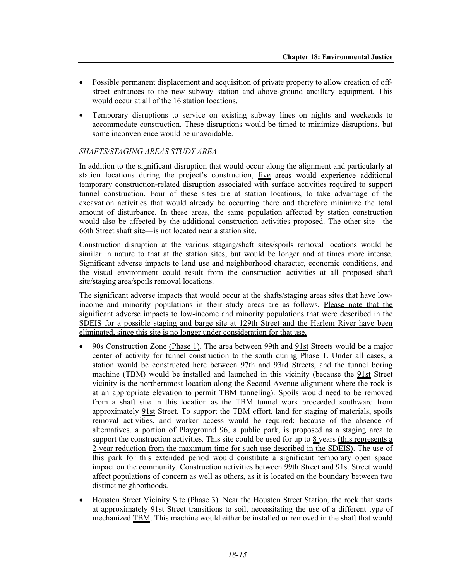- Possible permanent displacement and acquisition of private property to allow creation of offstreet entrances to the new subway station and above-ground ancillary equipment. This would occur at all of the 16 station locations.
- Temporary disruptions to service on existing subway lines on nights and weekends to accommodate construction. These disruptions would be timed to minimize disruptions, but some inconvenience would be unavoidable.

## *SHAFTS/STAGING AREAS STUDY AREA*

In addition to the significant disruption that would occur along the alignment and particularly at station locations during the project's construction, five areas would experience additional temporary construction-related disruption associated with surface activities required to support tunnel construction. Four of these sites are at station locations, to take advantage of the excavation activities that would already be occurring there and therefore minimize the total amount of disturbance. In these areas, the same population affected by station construction would also be affected by the additional construction activities proposed. The other site—the 66th Street shaft site—is not located near a station site.

Construction disruption at the various staging/shaft sites/spoils removal locations would be similar in nature to that at the station sites, but would be longer and at times more intense. Significant adverse impacts to land use and neighborhood character, economic conditions, and the visual environment could result from the construction activities at all proposed shaft site/staging area/spoils removal locations.

The significant adverse impacts that would occur at the shafts/staging areas sites that have lowincome and minority populations in their study areas are as follows. Please note that the significant adverse impacts to low-income and minority populations that were described in the SDEIS for a possible staging and barge site at 129th Street and the Harlem River have been eliminated, since this site is no longer under consideration for that use.

- 90s Construction Zone (Phase 1). The area between 99th and 91st Streets would be a major center of activity for tunnel construction to the south during Phase 1. Under all cases, a station would be constructed here between 97th and 93rd Streets, and the tunnel boring machine (TBM) would be installed and launched in this vicinity (because the 91st Street vicinity is the northernmost location along the Second Avenue alignment where the rock is at an appropriate elevation to permit TBM tunneling). Spoils would need to be removed from a shaft site in this location as the TBM tunnel work proceeded southward from approximately 91st Street. To support the TBM effort, land for staging of materials, spoils removal activities, and worker access would be required; because of the absence of alternatives, a portion of Playground 96, a public park, is proposed as a staging area to support the construction activities. This site could be used for up to  $8$  years (this represents a 2-year reduction from the maximum time for such use described in the SDEIS). The use of this park for this extended period would constitute a significant temporary open space impact on the community. Construction activities between 99th Street and 91st Street would affect populations of concern as well as others, as it is located on the boundary between two distinct neighborhoods.
- Houston Street Vicinity Site (Phase 3). Near the Houston Street Station, the rock that starts at approximately 91st Street transitions to soil, necessitating the use of a different type of mechanized TBM. This machine would either be installed or removed in the shaft that would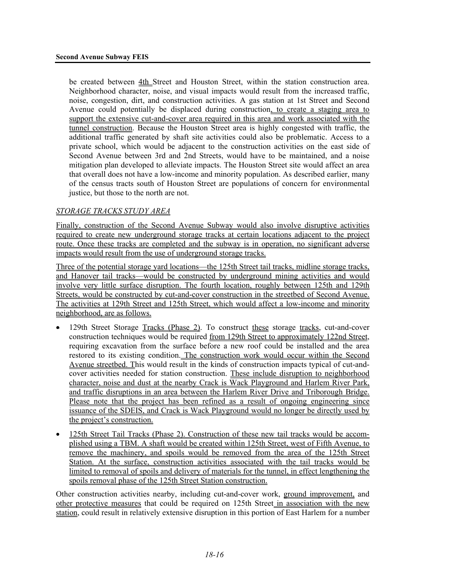be created between 4th Street and Houston Street, within the station construction area. Neighborhood character, noise, and visual impacts would result from the increased traffic, noise, congestion, dirt, and construction activities. A gas station at 1st Street and Second Avenue could potentially be displaced during construction, to create a staging area to support the extensive cut-and-cover area required in this area and work associated with the tunnel construction. Because the Houston Street area is highly congested with traffic, the additional traffic generated by shaft site activities could also be problematic. Access to a private school, which would be adjacent to the construction activities on the east side of Second Avenue between 3rd and 2nd Streets, would have to be maintained, and a noise mitigation plan developed to alleviate impacts. The Houston Street site would affect an area that overall does not have a low-income and minority population. As described earlier, many of the census tracts south of Houston Street are populations of concern for environmental justice, but those to the north are not.

#### *STORAGE TRACKS STUDY AREA*

Finally, construction of the Second Avenue Subway would also involve disruptive activities required to create new underground storage tracks at certain locations adjacent to the project route. Once these tracks are completed and the subway is in operation, no significant adverse impacts would result from the use of underground storage tracks.

Three of the potential storage yard locations—the 125th Street tail tracks, midline storage tracks, and Hanover tail tracks—would be constructed by underground mining activities and would involve very little surface disruption. The fourth location, roughly between 125th and 129th Streets, would be constructed by cut-and-cover construction in the streetbed of Second Avenue. The activities at 129th Street and 125th Street, which would affect a low-income and minority neighborhood, are as follows.

- 129th Street Storage Tracks (Phase 2). To construct these storage tracks, cut-and-cover construction techniques would be required from 129th Street to approximately 122nd Street, requiring excavation from the surface before a new roof could be installed and the area restored to its existing condition. The construction work would occur within the Second Avenue streetbed. This would result in the kinds of construction impacts typical of cut-andcover activities needed for station construction. These include disruption to neighborhood character, noise and dust at the nearby Crack is Wack Playground and Harlem River Park, and traffic disruptions in an area between the Harlem River Drive and Triborough Bridge. Please note that the project has been refined as a result of ongoing engineering since issuance of the SDEIS, and Crack is Wack Playground would no longer be directly used by the project's construction.
- 125th Street Tail Tracks (Phase 2). Construction of these new tail tracks would be accomplished using a TBM. A shaft would be created within 125th Street, west of Fifth Avenue, to remove the machinery, and spoils would be removed from the area of the 125th Street Station. At the surface, construction activities associated with the tail tracks would be limited to removal of spoils and delivery of materials for the tunnel, in effect lengthening the spoils removal phase of the 125th Street Station construction.

Other construction activities nearby, including cut-and-cover work, ground improvement, and other protective measures that could be required on 125th Street in association with the new station, could result in relatively extensive disruption in this portion of East Harlem for a number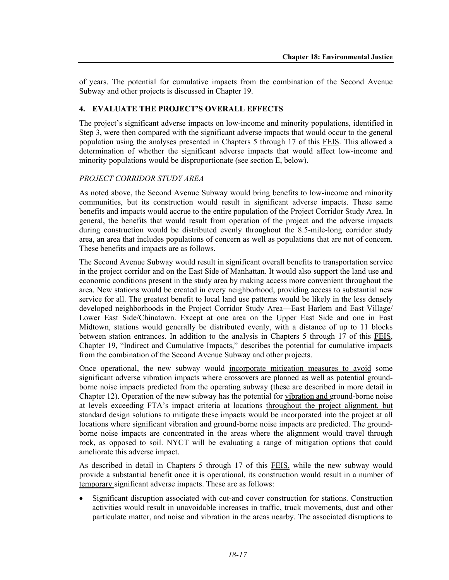of years. The potential for cumulative impacts from the combination of the Second Avenue Subway and other projects is discussed in Chapter 19.

# **4. EVALUATE THE PROJECT'S OVERALL EFFECTS**

The project's significant adverse impacts on low-income and minority populations, identified in Step 3, were then compared with the significant adverse impacts that would occur to the general population using the analyses presented in Chapters 5 through 17 of this FEIS. This allowed a determination of whether the significant adverse impacts that would affect low-income and minority populations would be disproportionate (see section E, below).

# *PROJECT CORRIDOR STUDY AREA*

As noted above, the Second Avenue Subway would bring benefits to low-income and minority communities, but its construction would result in significant adverse impacts. These same benefits and impacts would accrue to the entire population of the Project Corridor Study Area. In general, the benefits that would result from operation of the project and the adverse impacts during construction would be distributed evenly throughout the 8.5-mile-long corridor study area, an area that includes populations of concern as well as populations that are not of concern. These benefits and impacts are as follows.

The Second Avenue Subway would result in significant overall benefits to transportation service in the project corridor and on the East Side of Manhattan. It would also support the land use and economic conditions present in the study area by making access more convenient throughout the area. New stations would be created in every neighborhood, providing access to substantial new service for all. The greatest benefit to local land use patterns would be likely in the less densely developed neighborhoods in the Project Corridor Study Area—East Harlem and East Village/ Lower East Side/Chinatown. Except at one area on the Upper East Side and one in East Midtown, stations would generally be distributed evenly, with a distance of up to 11 blocks between station entrances. In addition to the analysis in Chapters 5 through 17 of this FEIS, Chapter 19, "Indirect and Cumulative Impacts," describes the potential for cumulative impacts from the combination of the Second Avenue Subway and other projects.

Once operational, the new subway would incorporate mitigation measures to avoid some significant adverse vibration impacts where crossovers are planned as well as potential groundborne noise impacts predicted from the operating subway (these are described in more detail in Chapter 12). Operation of the new subway has the potential for vibration and ground-borne noise at levels exceeding FTA's impact criteria at locations throughout the project alignment, but standard design solutions to mitigate these impacts would be incorporated into the project at all locations where significant vibration and ground-borne noise impacts are predicted. The groundborne noise impacts are concentrated in the areas where the alignment would travel through rock, as opposed to soil. NYCT will be evaluating a range of mitigation options that could ameliorate this adverse impact.

As described in detail in Chapters 5 through 17 of this FEIS, while the new subway would provide a substantial benefit once it is operational, its construction would result in a number of temporary significant adverse impacts. These are as follows:

• Significant disruption associated with cut-and cover construction for stations. Construction activities would result in unavoidable increases in traffic, truck movements, dust and other particulate matter, and noise and vibration in the areas nearby. The associated disruptions to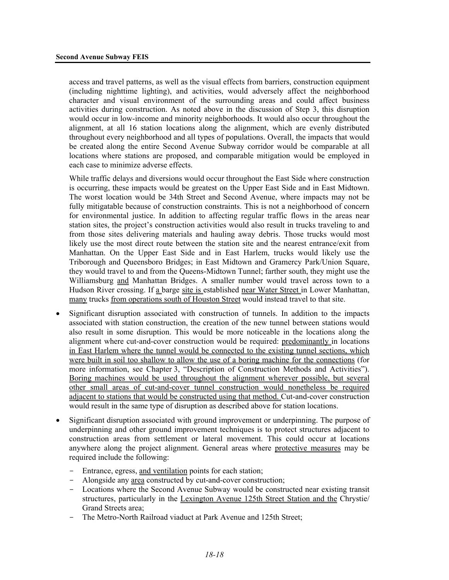access and travel patterns, as well as the visual effects from barriers, construction equipment (including nighttime lighting), and activities, would adversely affect the neighborhood character and visual environment of the surrounding areas and could affect business activities during construction. As noted above in the discussion of Step 3, this disruption would occur in low-income and minority neighborhoods. It would also occur throughout the alignment, at all 16 station locations along the alignment, which are evenly distributed throughout every neighborhood and all types of populations. Overall, the impacts that would be created along the entire Second Avenue Subway corridor would be comparable at all locations where stations are proposed, and comparable mitigation would be employed in each case to minimize adverse effects.

While traffic delays and diversions would occur throughout the East Side where construction is occurring, these impacts would be greatest on the Upper East Side and in East Midtown. The worst location would be 34th Street and Second Avenue, where impacts may not be fully mitigatable because of construction constraints. This is not a neighborhood of concern for environmental justice. In addition to affecting regular traffic flows in the areas near station sites, the project's construction activities would also result in trucks traveling to and from those sites delivering materials and hauling away debris. Those trucks would most likely use the most direct route between the station site and the nearest entrance/exit from Manhattan. On the Upper East Side and in East Harlem, trucks would likely use the Triborough and Queensboro Bridges; in East Midtown and Gramercy Park/Union Square, they would travel to and from the Queens-Midtown Tunnel; farther south, they might use the Williamsburg and Manhattan Bridges. A smaller number would travel across town to a Hudson River crossing. If a barge site is established near Water Street in Lower Manhattan, many trucks from operations south of Houston Street would instead travel to that site.

- Significant disruption associated with construction of tunnels. In addition to the impacts associated with station construction, the creation of the new tunnel between stations would also result in some disruption. This would be more noticeable in the locations along the alignment where cut-and-cover construction would be required: predominantly in locations in East Harlem where the tunnel would be connected to the existing tunnel sections, which were built in soil too shallow to allow the use of a boring machine for the connections (for more information, see Chapter 3, "Description of Construction Methods and Activities"). Boring machines would be used throughout the alignment wherever possible, but several other small areas of cut-and-cover tunnel construction would nonetheless be required adjacent to stations that would be constructed using that method. Cut-and-cover construction would result in the same type of disruption as described above for station locations.
- Significant disruption associated with ground improvement or underpinning. The purpose of underpinning and other ground improvement techniques is to protect structures adjacent to construction areas from settlement or lateral movement. This could occur at locations anywhere along the project alignment. General areas where protective measures may be required include the following:
	- Entrance, egress, and ventilation points for each station;
	- Alongside any area constructed by cut-and-cover construction;
	- Locations where the Second Avenue Subway would be constructed near existing transit structures, particularly in the Lexington Avenue 125th Street Station and the Chrystie/ Grand Streets area;
	- The Metro-North Railroad viaduct at Park Avenue and 125th Street;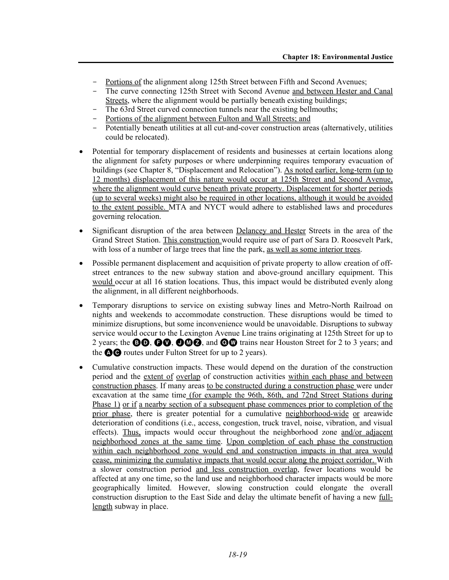- Portions of the alignment along 125th Street between Fifth and Second Avenues;
- The curve connecting 125th Street with Second Avenue and between Hester and Canal Streets, where the alignment would be partially beneath existing buildings;
- The 63rd Street curved connection tunnels near the existing bellmouths;
- Portions of the alignment between Fulton and Wall Streets; and
- Potentially beneath utilities at all cut-and-cover construction areas (alternatively, utilities could be relocated).
- Potential for temporary displacement of residents and businesses at certain locations along the alignment for safety purposes or where underpinning requires temporary evacuation of buildings (see Chapter 8, "Displacement and Relocation"). As noted earlier, long-term (up to 12 months) displacement of this nature would occur at 125th Street and Second Avenue, where the alignment would curve beneath private property. Displacement for shorter periods (up to several weeks) might also be required in other locations, although it would be avoided to the extent possible. MTA and NYCT would adhere to established laws and procedures governing relocation.
- Significant disruption of the area between Delancey and Hester Streets in the area of the Grand Street Station. This construction would require use of part of Sara D. Roosevelt Park, with loss of a number of large trees that line the park, as well as some interior trees.
- Possible permanent displacement and acquisition of private property to allow creation of offstreet entrances to the new subway station and above-ground ancillary equipment. This would occur at all 16 station locations. Thus, this impact would be distributed evenly along the alignment, in all different neighborhoods.
- Temporary disruptions to service on existing subway lines and Metro-North Railroad on nights and weekends to accommodate construction. These disruptions would be timed to minimize disruptions, but some inconvenience would be unavoidable. Disruptions to subway service would occur to the Lexington Avenue Line trains originating at 125th Street for up to 2 years; the  $\Theta$  $\Theta$ ,  $\Theta$  $\Theta$ ,  $\Theta$  $\Theta$  $\Theta$ , and  $\Theta$  $\Theta$  trains near Houston Street for 2 to 3 years; and the **QC** routes under Fulton Street for up to 2 years).
- Cumulative construction impacts. These would depend on the duration of the construction period and the extent of overlap of construction activities within each phase and between construction phases. If many areas to be constructed during a construction phase were under excavation at the same time (for example the 96th, 86th, and 72nd Street Stations during Phase 1) or if a nearby section of a subsequent phase commences prior to completion of the prior phase, there is greater potential for a cumulative neighborhood-wide or areawide deterioration of conditions (i.e., access, congestion, truck travel, noise, vibration, and visual effects). Thus, impacts would occur throughout the neighborhood zone and/or adjacent neighborhood zones at the same time. Upon completion of each phase the construction within each neighborhood zone would end and construction impacts in that area would cease, minimizing the cumulative impacts that would occur along the project corridor. With a slower construction period and less construction overlap, fewer locations would be affected at any one time, so the land use and neighborhood character impacts would be more geographically limited. However, slowing construction could elongate the overall construction disruption to the East Side and delay the ultimate benefit of having a new fulllength subway in place.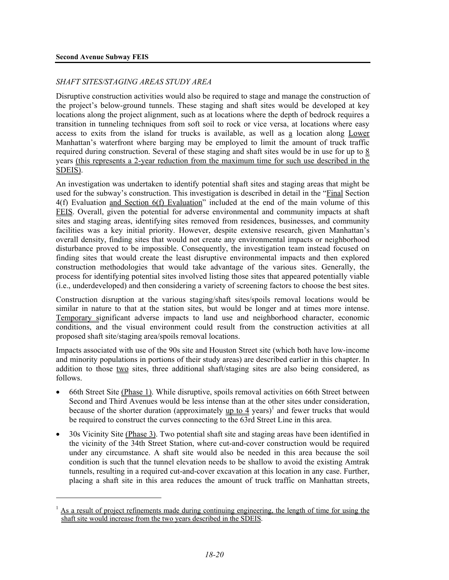<u>.</u>

### *SHAFT SITES/STAGING AREAS STUDY AREA*

Disruptive construction activities would also be required to stage and manage the construction of the project's below-ground tunnels. These staging and shaft sites would be developed at key locations along the project alignment, such as at locations where the depth of bedrock requires a transition in tunneling techniques from soft soil to rock or vice versa, at locations where easy access to exits from the island for trucks is available, as well as a location along Lower Manhattan's waterfront where barging may be employed to limit the amount of truck traffic required during construction. Several of these staging and shaft sites would be in use for up to 8 years (this represents a 2-year reduction from the maximum time for such use described in the SDEIS).

An investigation was undertaken to identify potential shaft sites and staging areas that might be used for the subway's construction. This investigation is described in detail in the "Final Section 4(f) Evaluation and Section 6(f) Evaluation" included at the end of the main volume of this FEIS. Overall, given the potential for adverse environmental and community impacts at shaft sites and staging areas, identifying sites removed from residences, businesses, and community facilities was a key initial priority. However, despite extensive research, given Manhattan's overall density, finding sites that would not create any environmental impacts or neighborhood disturbance proved to be impossible. Consequently, the investigation team instead focused on finding sites that would create the least disruptive environmental impacts and then explored construction methodologies that would take advantage of the various sites. Generally, the process for identifying potential sites involved listing those sites that appeared potentially viable (i.e., underdeveloped) and then considering a variety of screening factors to choose the best sites.

Construction disruption at the various staging/shaft sites/spoils removal locations would be similar in nature to that at the station sites, but would be longer and at times more intense. Temporary significant adverse impacts to land use and neighborhood character, economic conditions, and the visual environment could result from the construction activities at all proposed shaft site/staging area/spoils removal locations.

Impacts associated with use of the 90s site and Houston Street site (which both have low-income and minority populations in portions of their study areas) are described earlier in this chapter. In addition to those two sites, three additional shaft/staging sites are also being considered, as follows.

- 66th Street Site (Phase 1). While disruptive, spoils removal activities on 66th Street between Second and Third Avenues would be less intense than at the other sites under consideration, because of the shorter duration (approximately  $up$  to 4 years)<sup>1</sup> and fewer trucks that would be required to construct the curves connecting to the 63rd Street Line in this area.
- 30s Vicinity Site (Phase 3). Two potential shaft site and staging areas have been identified in the vicinity of the 34th Street Station, where cut-and-cover construction would be required under any circumstance. A shaft site would also be needed in this area because the soil condition is such that the tunnel elevation needs to be shallow to avoid the existing Amtrak tunnels, resulting in a required cut-and-cover excavation at this location in any case. Further, placing a shaft site in this area reduces the amount of truck traffic on Manhattan streets,

<sup>1</sup> As a result of project refinements made during continuing engineering, the length of time for using the shaft site would increase from the two years described in the SDEIS.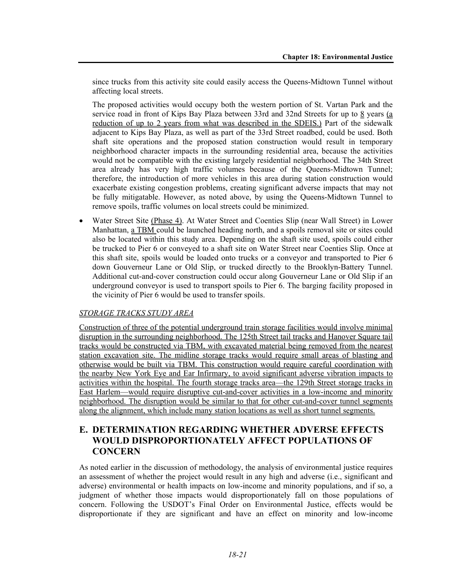since trucks from this activity site could easily access the Queens-Midtown Tunnel without affecting local streets.

The proposed activities would occupy both the western portion of St. Vartan Park and the service road in front of Kips Bay Plaza between 33rd and 32nd Streets for up to 8 years (a reduction of up to 2 years from what was described in the SDEIS.) Part of the sidewalk adjacent to Kips Bay Plaza, as well as part of the 33rd Street roadbed, could be used. Both shaft site operations and the proposed station construction would result in temporary neighborhood character impacts in the surrounding residential area, because the activities would not be compatible with the existing largely residential neighborhood. The 34th Street area already has very high traffic volumes because of the Queens-Midtown Tunnel; therefore, the introduction of more vehicles in this area during station construction would exacerbate existing congestion problems, creating significant adverse impacts that may not be fully mitigatable. However, as noted above, by using the Queens-Midtown Tunnel to remove spoils, traffic volumes on local streets could be minimized.

• Water Street Site (Phase 4). At Water Street and Coenties Slip (near Wall Street) in Lower Manhattan, a TBM could be launched heading north, and a spoils removal site or sites could also be located within this study area. Depending on the shaft site used, spoils could either be trucked to Pier 6 or conveyed to a shaft site on Water Street near Coenties Slip. Once at this shaft site, spoils would be loaded onto trucks or a conveyor and transported to Pier 6 down Gouverneur Lane or Old Slip, or trucked directly to the Brooklyn-Battery Tunnel. Additional cut-and-cover construction could occur along Gouverneur Lane or Old Slip if an underground conveyor is used to transport spoils to Pier 6. The barging facility proposed in the vicinity of Pier 6 would be used to transfer spoils.

#### *STORAGE TRACKS STUDY AREA*

Construction of three of the potential underground train storage facilities would involve minimal disruption in the surrounding neighborhood. The 125th Street tail tracks and Hanover Square tail tracks would be constructed via TBM, with excavated material being removed from the nearest station excavation site. The midline storage tracks would require small areas of blasting and otherwise would be built via TBM. This construction would require careful coordination with the nearby New York Eye and Ear Infirmary, to avoid significant adverse vibration impacts to activities within the hospital. The fourth storage tracks area—the 129th Street storage tracks in East Harlem—would require disruptive cut-and-cover activities in a low-income and minority neighborhood. The disruption would be similar to that for other cut-and-cover tunnel segments along the alignment, which include many station locations as well as short tunnel segments.

# **E. DETERMINATION REGARDING WHETHER ADVERSE EFFECTS WOULD DISPROPORTIONATELY AFFECT POPULATIONS OF CONCERN**

As noted earlier in the discussion of methodology, the analysis of environmental justice requires an assessment of whether the project would result in any high and adverse (i.e., significant and adverse) environmental or health impacts on low-income and minority populations, and if so, a judgment of whether those impacts would disproportionately fall on those populations of concern. Following the USDOT's Final Order on Environmental Justice, effects would be disproportionate if they are significant and have an effect on minority and low-income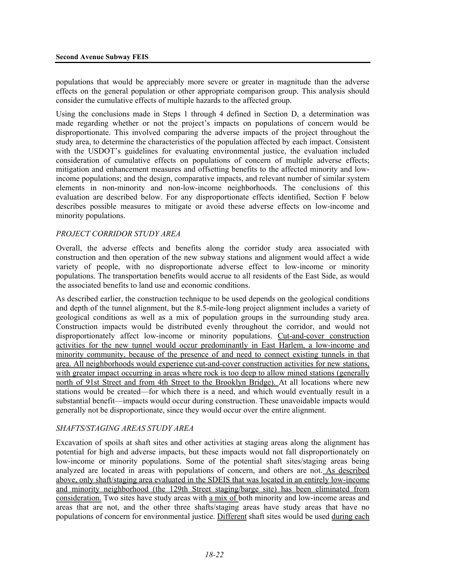populations that would be appreciably more severe or greater in magnitude than the adverse effects on the general population or other appropriate comparison group. This analysis should consider the cumulative effects of multiple hazards to the affected group.

Using the conclusions made in Steps 1 through 4 defined in Section D, a determination was made regarding whether or not the project's impacts on populations of concern would be disproportionate. This involved comparing the adverse impacts of the project throughout the study area, to determine the characteristics of the population affected by each impact. Consistent with the USDOT's guidelines for evaluating environmental justice, the evaluation included consideration of cumulative effects on populations of concern of multiple adverse effects; mitigation and enhancement measures and offsetting benefits to the affected minority and lowincome populations; and the design, comparative impacts, and relevant number of similar system elements in non-minority and non-low-income neighborhoods. The conclusions of this evaluation are described below. For any disproportionate effects identified, Section F below describes possible measures to mitigate or avoid these adverse effects on low-income and minority populations.

## *PROJECT CORRIDOR STUDY AREA*

Overall, the adverse effects and benefits along the corridor study area associated with construction and then operation of the new subway stations and alignment would affect a wide variety of people, with no disproportionate adverse effect to low-income or minority populations. The transportation benefits would accrue to all residents of the East Side, as would the associated benefits to land use and economic conditions.

As described earlier, the construction technique to be used depends on the geological conditions and depth of the tunnel alignment, but the 8.5-mile-long project alignment includes a variety of geological conditions as well as a mix of population groups in the surrounding study area. Construction impacts would be distributed evenly throughout the corridor, and would not disproportionately affect low-income or minority populations. Cut-and-cover construction activities for the new tunnel would occur predominantly in East Harlem, a low-income and minority community, because of the presence of and need to connect existing tunnels in that area. All neighborhoods would experience cut-and-cover construction activities for new stations, with greater impact occurring in areas where rock is too deep to allow mined stations (generally north of 91st Street and from 4th Street to the Brooklyn Bridge). At all locations where new stations would be created—for which there is a need, and which would eventually result in a substantial benefit—impacts would occur during construction. These unavoidable impacts would generally not be disproportionate, since they would occur over the entire alignment.

#### *SHAFTS/STAGING AREAS STUDY AREA*

Excavation of spoils at shaft sites and other activities at staging areas along the alignment has potential for high and adverse impacts, but these impacts would not fall disproportionately on low-income or minority populations. Some of the potential shaft sites/staging areas being analyzed are located in areas with populations of concern, and others are not. As described above, only shaft/staging area evaluated in the SDEIS that was located in an entirely low-income and minority neighborhood (the 129th Street staging/barge site) has been eliminated from consideration. Two sites have study areas with a mix of both minority and low-income areas and areas that are not, and the other three shafts/staging areas have study areas that have no populations of concern for environmental justice. Different shaft sites would be used during each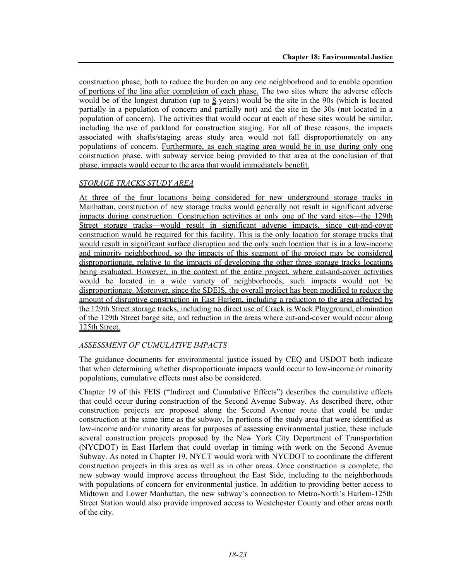construction phase, both to reduce the burden on any one neighborhood and to enable operation of portions of the line after completion of each phase. The two sites where the adverse effects would be of the longest duration (up to  $\frac{8}{9}$  years) would be the site in the 90s (which is located partially in a population of concern and partially not) and the site in the 30s (not located in a population of concern). The activities that would occur at each of these sites would be similar, including the use of parkland for construction staging. For all of these reasons, the impacts associated with shafts/staging areas study area would not fall disproportionately on any populations of concern. **Furthermore**, as each staging area would be in use during only one construction phase, with subway service being provided to that area at the conclusion of that phase, impacts would occur to the area that would immediately benefit.

## *STORAGE TRACKS STUDY AREA*

At three of the four locations being considered for new underground storage tracks in Manhattan, construction of new storage tracks would generally not result in significant adverse impacts during construction. Construction activities at only one of the yard sites—the 129th Street storage tracks—would result in significant adverse impacts, since cut-and-cover construction would be required for this facility. This is the only location for storage tracks that would result in significant surface disruption and the only such location that is in a low-income and minority neighborhood, so the impacts of this segment of the project may be considered disproportionate, relative to the impacts of developing the other three storage tracks locations being evaluated. However, in the context of the entire project, where cut-and-cover activities would be located in a wide variety of neighborhoods, such impacts would not be disproportionate. Moreover, since the SDEIS, the overall project has been modified to reduce the amount of disruptive construction in East Harlem, including a reduction to the area affected by the 129th Street storage tracks, including no direct use of Crack is Wack Playground, elimination of the 129th Street barge site, and reduction in the areas where cut-and-cover would occur along 125th Street.

#### *ASSESSMENT OF CUMULATIVE IMPACTS*

The guidance documents for environmental justice issued by CEQ and USDOT both indicate that when determining whether disproportionate impacts would occur to low-income or minority populations, cumulative effects must also be considered.

Chapter 19 of this FEIS ("Indirect and Cumulative Effects") describes the cumulative effects that could occur during construction of the Second Avenue Subway. As described there, other construction projects are proposed along the Second Avenue route that could be under construction at the same time as the subway. In portions of the study area that were identified as low-income and/or minority areas for purposes of assessing environmental justice, these include several construction projects proposed by the New York City Department of Transportation (NYCDOT) in East Harlem that could overlap in timing with work on the Second Avenue Subway. As noted in Chapter 19, NYCT would work with NYCDOT to coordinate the different construction projects in this area as well as in other areas. Once construction is complete, the new subway would improve access throughout the East Side, including to the neighborhoods with populations of concern for environmental justice. In addition to providing better access to Midtown and Lower Manhattan, the new subway's connection to Metro-North's Harlem-125th Street Station would also provide improved access to Westchester County and other areas north of the city.